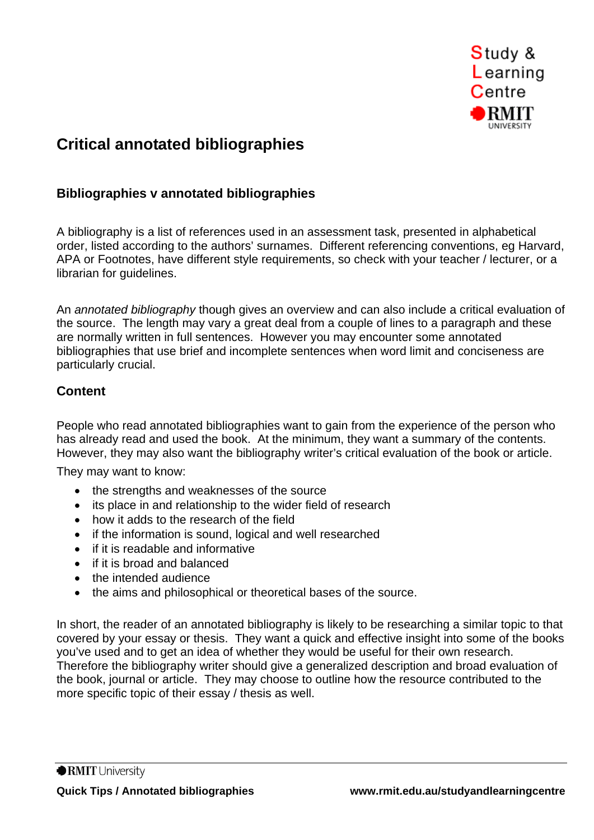

# **Critical annotated bibliographies**

## **Bibliographies v annotated bibliographies**

A bibliography is a list of references used in an assessment task, presented in alphabetical order, listed according to the authors' surnames. Different referencing conventions, eg Harvard, APA or Footnotes, have different style requirements, so check with your teacher / lecturer, or a librarian for guidelines.

An *annotated bibliography* though gives an overview and can also include a critical evaluation of the source. The length may vary a great deal from a couple of lines to a paragraph and these are normally written in full sentences. However you may encounter some annotated bibliographies that use brief and incomplete sentences when word limit and conciseness are particularly crucial.

## **Content**

People who read annotated bibliographies want to gain from the experience of the person who has already read and used the book. At the minimum, they want a summary of the contents. However, they may also want the bibliography writer's critical evaluation of the book or article.

They may want to know:

- the strengths and weaknesses of the source
- its place in and relationship to the wider field of research
- how it adds to the research of the field
- if the information is sound, logical and well researched
- if it is readable and informative
- if it is broad and balanced
- the intended audience
- the aims and philosophical or theoretical bases of the source.

In short, the reader of an annotated bibliography is likely to be researching a similar topic to that covered by your essay or thesis. They want a quick and effective insight into some of the books you've used and to get an idea of whether they would be useful for their own research. Therefore the bibliography writer should give a generalized description and broad evaluation of the book, journal or article. They may choose to outline how the resource contributed to the more specific topic of their essay / thesis as well.